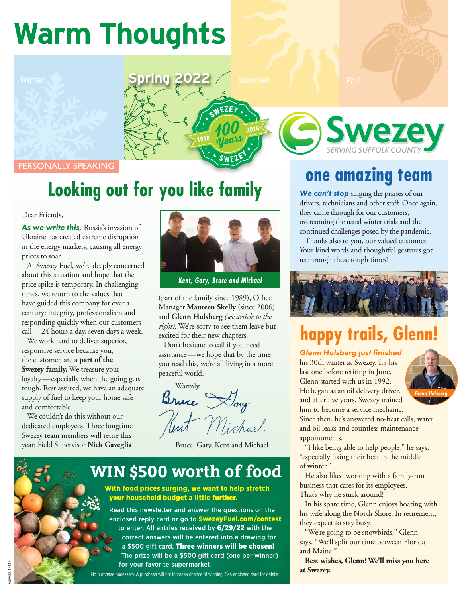# **Warm Thoughts**

Winter **Spring 2022** / Summer **July 19 / Spring 2022** / Summer **July 19 / Spring 2022** 

PERSONALLY SPEAKING

## **Looking out for you like family**

Dear Friends,

*As we write this,* Russia's invasion of Ukraine has created extreme disruption in the energy markets, causing all energy prices to soar.

At Swezey Fuel, we're deeply concerned about this situation and hope that the price spike is temporary. In challenging times, we return to the values that have guided this company for over a century: integrity, professionalism and responding quickly when our customers call—24 hours a day, seven days a week.

We work hard to deliver superior, responsive service because you, the customer, are a **part of the Swezey family.** We treasure your loyalty—especially when the going gets tough. Rest assured, we have an adequate supply of fuel to keep your home safe and comfortable.

We couldn't do this without our dedicated employees. Three longtime Swezey team members will retire this year: Field Supervisor **Nick Gaveglia**



*Kent, Gary, Bruce and Michael*

(part of the family since 1989), Office Manager **Maureen Skelly** (since 2006) and **Glenn Hulsberg** *(see article to the right)*. We're sorry to see them leave but excited for their new chapters!

Don't hesitate to call if you need assistance—we hope that by the time you read this, we're all living in a more peaceful world.

Warmly, Bruce Day

Bruce, Gary, Kent and Michael

#### **WIN \$500 worth of food**

#### With food prices surging, we want to help stretch your household budget a little further.

Read this newsletter and answer the questions on the enclosed reply card or go to **SwezeyFuel.com/contest** to enter. All entries received by 6/29/22 with the correct answers will be entered into a drawing for a \$500 gift card. Three winners will be chosen! The prize will be a \$500 gift card (one per winner) for your favorite supermarket.

No purchase necessary. A purchase will not increase chance of winning. See enclosed card for details.

#### **one amazing team**

**Swezey** 

*We can't stop* singing the praises of our drivers, technicians and other staff. Once again, they came through for our customers, overcoming the usual winter trials and the continued challenges posed by the pandemic.

Thanks also to you, our valued customer. Your kind words and thoughtful gestures got us through these tough times!



## **happy trails, Glenn!**

*Glenn Hulsberg just finished* his 30th winter at Swezey. It's his last one before retiring in June. Glenn started with us in 1992. He began as an oil delivery driver, and after five years, Swezey trained him to become a service mechanic. Since then, he's answered no-heat calls, water and oil leaks and countless maintenance



appointments. "I like being able to help people," he says, "especially fixing their heat in the middle

of winter." He also liked working with a family-run business that cares for its employees.

That's why he stuck around!

In his spare time, Glenn enjoys boating with his wife along the North Shore. In retirement, they expect to stay busy.

"We're going to be snowbirds," Glenn says. "We'll split our time between Florida and Maine."

**Best wishes, Glenn! We'll miss you here at Swezey.**